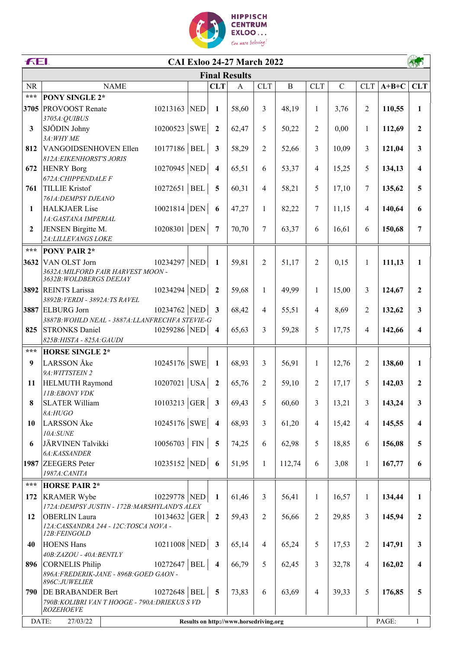

|                   | FEI.<br><b>CAI Exloo 24-27 March 2022</b>                                                      |                                        |                         |                      |                |              |                |               |                |         |                         |
|-------------------|------------------------------------------------------------------------------------------------|----------------------------------------|-------------------------|----------------------|----------------|--------------|----------------|---------------|----------------|---------|-------------------------|
|                   |                                                                                                |                                        |                         | <b>Final Results</b> |                |              |                |               |                |         |                         |
| <b>NR</b>         | <b>NAME</b>                                                                                    |                                        | <b>CLT</b>              | $\mathbf{A}$         | <b>CLT</b>     | $\, {\bf B}$ | <b>CLT</b>     | $\mathcal{C}$ | <b>CLT</b>     | $A+B+C$ | <b>CLT</b>              |
| $\star\star\star$ | PONY SINGLE 2*                                                                                 |                                        |                         |                      |                |              |                |               |                |         |                         |
| 3705              | PROVOOST Renate<br>3705A: QUIBUS                                                               | 10213163 NED                           | $\mathbf{1}$            | 58,60                | 3              | 48,19        | 1              | 3,76          | $\overline{2}$ | 110,55  | $\mathbf{1}$            |
| 3                 | SJÖDIN Johny<br>3A: WHY ME                                                                     | $10200523$ SWE 2                       |                         | 62,47                | 5              | 50,22        | $\overline{c}$ | 0,00          | $\mathbf{1}$   | 112,69  | $\overline{2}$          |
| 812               | VANGOIDSENHOVEN Ellen                                                                          | 10177186   BEL   3                     |                         | 58,29                | $\overline{2}$ | 52,66        | 3              | 10,09         | 3              | 121,04  | $\mathbf{3}$            |
| 672               | 812A: EIKENHORST'S JORIS<br><b>HENRY Borg</b>                                                  | 10270945 NED 4                         |                         | 65,51                | 6              | 53,37        | 4              | 15,25         | 5              | 134,13  | $\overline{\mathbf{4}}$ |
| 761               | 672A: CHIPPENDALE F<br><b>TILLIE Kristof</b>                                                   | 10272651   BEL                         | $\overline{5}$          | 60,31                | $\overline{4}$ | 58,21        | 5              | 17,10         | 7              | 135,62  | 5                       |
| 1                 | 761A: DEMPSY DJEANO<br><b>HALKJAER Lise</b>                                                    | $10021814$ DEN 6                       |                         | 47,27                | $\mathbf{1}$   | 82,22        | 7              | 11,15         | 4              | 140,64  | 6                       |
| $\overline{2}$    | 1A:GASTANA IMPERIAL<br>JENSEN Birgitte M.                                                      | 10208301 DEN 7                         |                         | 70,70                | 7              | 63,37        | 6              | 16,61         | 6              | 150,68  | 7                       |
|                   | 2A: LILLEVANGS LOKE                                                                            |                                        |                         |                      |                |              |                |               |                |         |                         |
| $***$             | <b>PONY PAIR 2*</b>                                                                            |                                        |                         |                      |                |              |                |               |                |         |                         |
| 3632              | VAN OLST Jorn<br>3632A: MILFORD FAIR HARVEST MOON -<br>3632B: WOLDBERGS DEEJAY                 | 10234297 NED                           | $\mathbf{1}$            | 59,81                | $\overline{2}$ | 51,17        | $\overline{2}$ | 0,15          | 1              | 111,13  | 1                       |
| 3892              | <b>REINTS</b> Larissa<br>3892B: VERDI - 3892A: TS RAVEL                                        | 10234294 NED 2                         |                         | 59,68                | $\mathbf{1}$   | 49,99        | $\mathbf{1}$   | 15,00         | 3              | 124,67  | $\mathbf{2}$            |
| 3887              | <b>ELBURG</b> Jorn                                                                             | 10234762 NED 3                         |                         | 68,42                | $\overline{4}$ | 55,51        | 4              | 8,69          | 2              | 132,62  | 3                       |
| 825               | 3887B: WOHLD NEAL - 3887A: LLANFRECHFA STEVIE-G<br><b>STRONKS Daniel</b>                       | 10259286 NED                           | $\overline{\mathbf{4}}$ | 65,63                | 3              | 59,28        | 5              | 17,75         | 4              | 142,66  | $\overline{\mathbf{4}}$ |
|                   | 825B: HISTA - 825A: GAUDI                                                                      |                                        |                         |                      |                |              |                |               |                |         |                         |
| $***$             | <b>HORSE SINGLE 2*</b>                                                                         |                                        |                         |                      |                |              |                |               |                |         |                         |
| 9                 | LARSSON Åke                                                                                    | 10245176 SWE                           | $\mathbf{1}$            | 68,93                | 3              | 56,91        | 1              | 12,76         | $\overline{2}$ | 138,60  | 1                       |
| 11                | 9A: WITTSTEIN 2<br><b>HELMUTH Raymond</b>                                                      | $10207021$ USA                         | $\overline{2}$          | 65,76                | $\overline{2}$ | 59,10        | $\overline{2}$ | 17,17         | 5              | 142,03  | $\overline{2}$          |
| 8                 | 11B:EBONY VDK<br><b>SLATER William</b>                                                         | 10103213  GER                          | $\mathbf{3}$            | 69,43                | 5              | 60,60        | 3              | 13,21         | 3              | 143,24  | 3                       |
| 10                | 8A:HUGO<br>LARSSON Åke                                                                         | $10245176$ SWE 4                       |                         | 68,93                | 3              | 61,20        | $\overline{4}$ | 15,42         | 4              | 145,55  | $\overline{\mathbf{4}}$ |
|                   | 10A:SUNE                                                                                       |                                        |                         |                      |                |              |                |               |                |         |                         |
| 6                 | JÄRVINEN Talvikki<br>6A:KASSANDER                                                              | $10056703$ FIN                         | $\overline{5}$          | 74,25                | 6              | 62,98        | 5              | 18,85         | 6              | 156,08  | 5                       |
|                   | 1987 ZEEGERS Peter<br>1987A: CANITA                                                            | 10235152 NED 6                         |                         | 51,95                | $\mathbf{1}$   | 112,74       | 6              | 3,08          | 1              | 167,77  | 6                       |
| $\star\star\star$ | <b>HORSE PAIR 2*</b>                                                                           |                                        |                         |                      |                |              |                |               |                |         |                         |
| 172               | <b>KRAMER Wybe</b>                                                                             | 10229778 NED                           | $\mathbf{1}$            | 61,46                | 3              | 56,41        | $\mathbf{1}$   | 16,57         | 1              | 134,44  | $\mathbf{1}$            |
|                   | 172A: DEMPSY JUSTIN - 172B: MARSHYLAND'S ALEX                                                  |                                        |                         |                      |                |              |                |               |                |         |                         |
| 12                | <b>OBERLIN</b> Laura<br>12A: CASSANDRA 244 - 12C: TOSCA NOVA -                                 | 10134632 GER                           | $\overline{2}$          | 59,43                | $\overline{2}$ | 56,66        | $\overline{2}$ | 29,85         | 3              | 145,94  | $\overline{2}$          |
| 40                | 12B:FEINGOLD<br><b>HOENS Hans</b>                                                              | $10211008$ NED 3                       |                         | 65,14                | $\overline{4}$ | 65,24        | 5              | 17,53         | 2              | 147,91  | $\mathbf{3}$            |
|                   | 40B:ZAZOU - 40A:BENTLY                                                                         |                                        |                         |                      |                |              |                |               |                |         |                         |
| 896               | CORNELIS Philip<br>896A: FREDERIK-JANE - 896B: GOED GAON -<br>896C:JUWELIER                    | $10272647$ BEL                         | $\overline{\mathbf{4}}$ | 66,79                | 5              | 62,45        | 3              | 32,78         | 4              | 162,02  | $\overline{\mathbf{4}}$ |
| 790               | <b>DE BRABANDER Bert</b><br>790B: KOLIBRI VAN T HOOGE - 790A: DRIEKUS S VD<br><b>ROZEHOEVE</b> | $10272648$ BEL                         | $\overline{5}$          | 73,83                | 6              | 63,69        | $\overline{4}$ | 39,33         | 5              | 176,85  | 5                       |
|                   | DATE:<br>27/03/22                                                                              | Results on http://www.horsedriving.org |                         |                      |                |              |                |               |                | PAGE:   | $\mathbf{1}$            |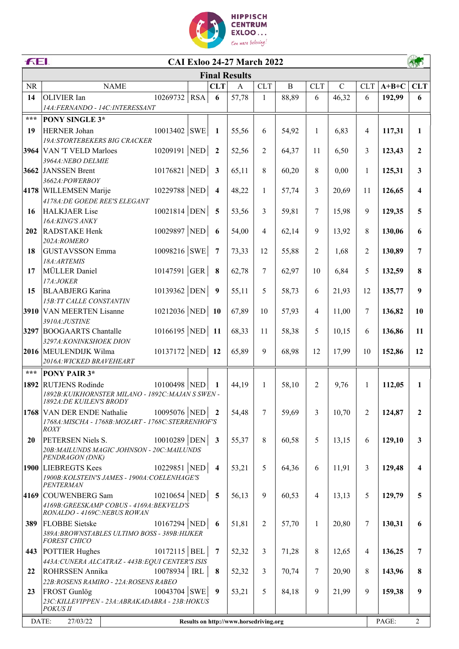

|                   | FEI.<br><b>CAI Exloo 24-27 March 2022</b>                                            |                   |     |                         |                                        |                          |              |                |                |            |         |                         |
|-------------------|--------------------------------------------------------------------------------------|-------------------|-----|-------------------------|----------------------------------------|--------------------------|--------------|----------------|----------------|------------|---------|-------------------------|
|                   |                                                                                      |                   |     |                         | <b>Final Results</b>                   |                          |              |                |                |            |         |                         |
| <b>NR</b>         | <b>NAME</b>                                                                          |                   |     | <b>CLT</b>              | $\mathbf{A}$                           | <b>CLT</b>               | $\, {\bf B}$ | <b>CLT</b>     | $\overline{C}$ | <b>CLT</b> | $A+B+C$ | <b>CLT</b>              |
| 14                | OLIVIER Ian                                                                          | $10269732$ RSA    |     | 6                       | 57,78                                  | $\mathbf{1}$             | 88,89        | 6              | 46,32          | 6          | 192,99  | 6                       |
|                   | 14A:FERNANDO - 14C:INTERESSANT                                                       |                   |     |                         |                                        |                          |              |                |                |            |         |                         |
| $\star\star\star$ | PONY SINGLE 3*                                                                       |                   |     |                         |                                        |                          |              |                |                |            |         |                         |
| 19                | <b>HERNER Johan</b>                                                                  | 10013402 SWE      |     | 1                       | 55,56                                  | 6                        | 54,92        | 1              | 6,83           | 4          | 117,31  | $\mathbf{1}$            |
|                   | 19A:STORTEBEKERS BIG CRACKER<br>3964 VAN 'T VELD Marloes                             | 10209191 NED 2    |     |                         | 52,56                                  | $\overline{2}$           | 64,37        | 11             | 6,50           | 3          |         | $\mathbf{2}$            |
|                   | 3964A:NEBO DELMIE                                                                    |                   |     |                         |                                        |                          |              |                |                |            | 123,43  |                         |
|                   | 3662 JANSSEN Brent                                                                   | 10176821 NED 3    |     |                         | 65,11                                  | 8                        | 60,20        | 8              | 0,00           | 1          | 125,31  | $\overline{\mathbf{3}}$ |
|                   | 3662A:POWERBOY                                                                       |                   |     |                         |                                        |                          |              |                |                |            |         |                         |
|                   | 4178 WILLEMSEN Marije                                                                | 10229788 NED 4    |     |                         | 48,22                                  | $\mathbf{1}$             | 57,74        | 3              | 20,69          | 11         | 126,65  | $\overline{\mathbf{4}}$ |
|                   | 4178A: DE GOEDE REE'S ELEGANT                                                        |                   |     |                         |                                        |                          |              |                |                |            |         |                         |
| 16                | <b>HALKJAER</b> Lise<br>16A: KING'S ANKY                                             | $10021814$ DEN 5  |     |                         | 53,56                                  | 3                        | 59,81        | $\tau$         | 15,98          | 9          | 129,35  | 5                       |
| 202               | <b>RADSTAKE Henk</b>                                                                 | $10029897$ NED 6  |     |                         | 54,00                                  | $\overline{\mathcal{A}}$ | 62,14        | 9              | 13,92          | 8          | 130,06  | 6                       |
|                   | 202A:ROMERO                                                                          |                   |     |                         |                                        |                          |              |                |                |            |         |                         |
| 18                | <b>GUSTAVSSON</b> Emma                                                               | $10098216$ SWE 7  |     |                         | 73,33                                  | 12                       | 55,88        | 2              | 1,68           | 2          | 130,89  | $\overline{7}$          |
|                   | 18A: ARTEMIS                                                                         |                   |     |                         |                                        |                          |              |                |                |            |         |                         |
| 17                | MÜLLER Daniel<br>17A:JOKER                                                           | 10147591 GER      |     | $\overline{\mathbf{8}}$ | 62,78                                  | 7                        | 62,97        | 10             | 6,84           | 5          | 132,59  | 8                       |
| 15                | <b>BLAABJERG Karina</b>                                                              | 10139362 DEN 9    |     |                         | 55,11                                  | 5                        | 58,73        | 6              | 21,93          | 12         | 135,77  | 9                       |
|                   | 15B:TT CALLE CONSTANTIN                                                              |                   |     |                         |                                        |                          |              |                |                |            |         |                         |
|                   | 3910 VAN MEERTEN Lisanne                                                             | $10212036$ NED 10 |     |                         | 67,89                                  | 10                       | 57,93        | $\overline{4}$ | 11,00          | 7          | 136,82  | 10                      |
|                   | 3910A:JUSTINE                                                                        |                   |     |                         |                                        |                          |              |                |                |            |         |                         |
| 3297              | <b>BOOGAARTS</b> Chantalle<br>3297A: KONINKSHOEK DION                                | 10166195 NED 11   |     |                         | 68,33                                  | 11                       | 58,38        | 5              | 10,15          | 6          | 136,86  | 11                      |
|                   | 2016 MEULENDIJK Wilma                                                                | 10137172 NED 12   |     |                         | 65,89                                  | 9                        | 68,98        | 12             | 17,99          | 10         | 152,86  | 12                      |
|                   | 2016A: WICKED BRAVEHEART                                                             |                   |     |                         |                                        |                          |              |                |                |            |         |                         |
| $***$             | <b>PONY PAIR 3*</b>                                                                  |                   |     |                         |                                        |                          |              |                |                |            |         |                         |
| 1892              | <b>RUTJENS Rodinde</b>                                                               | 10100498 NED      |     | $\mathbf{1}$            | 44,19                                  | $\mathbf{1}$             | 58,10        | $\overline{2}$ | 9,76           | 1          | 112,05  | 1                       |
|                   | 1892B: KUIKHORNSTER MILANO - 1892C: MAJAN S SWEN -<br><i>1892A:DE KUILEN'S BRODY</i> |                   |     |                         |                                        |                          |              |                |                |            |         |                         |
|                   | 1768 VAN DER ENDE Nathalie                                                           | 10095076 NED      |     | $\overline{\mathbf{2}}$ | 54,48                                  | 7                        | 59,69        | 3              | 10,70          | 2          | 124,87  | $\mathbf{2}$            |
|                   | 1768A: MISCHA - 1768B: MOZART - 1768C: STERRENHOF'S                                  |                   |     |                         |                                        |                          |              |                |                |            |         |                         |
|                   | ROXY                                                                                 |                   |     |                         |                                        |                          |              |                |                |            |         |                         |
| <b>20</b>         | PETERSEN Niels S.<br>20B: MAILUNDS MAGIC JOHNSON - 20C: MAILUNDS                     | $10010289$ DEN 3  |     |                         | 55,37                                  | 8                        | 60,58        | 5              | 13,15          | 6          | 129,10  | $\mathbf{3}$            |
|                   | PENDRAGON (DNK)                                                                      |                   |     |                         |                                        |                          |              |                |                |            |         |                         |
|                   | 1900 LIEBREGTS Kees                                                                  | 10229851 NED 4    |     |                         | 53,21                                  | 5                        | 64,36        | 6              | 11,91          | 3          | 129,48  | 4                       |
|                   | 1900B: KOLSTEIN'S JAMES - 1900A: COELENHAGE'S<br>PENTERMAN                           |                   |     |                         |                                        |                          |              |                |                |            |         |                         |
|                   | 4169 COUWENBERG Sam                                                                  | $10210654$ NED 5  |     |                         | 56,13                                  | 9                        | 60,53        | $\overline{4}$ | 13,13          | 5          | 129,79  | 5                       |
|                   | 4169B: GREESKAMP COBUS - 4169A: BEKVELD'S                                            |                   |     |                         |                                        |                          |              |                |                |            |         |                         |
|                   | RONALDO - 4169C:NEBUS ROWAN                                                          | 10167294 NED 6    |     |                         |                                        |                          |              |                |                |            |         |                         |
| 389               | <b>FLOBBE</b> Sietske<br>389A: BROWNSTABLES ULTIMO BOSS - 389B: HIJKER               |                   |     |                         | 51,81                                  | 2                        | 57,70        | 1              | 20,80          | 7          | 130,31  | 6                       |
|                   | <b>FOREST CHICO</b>                                                                  |                   |     |                         |                                        |                          |              |                |                |            |         |                         |
| 443               | <b>POTTIER Hughes</b>                                                                | $10172115$ BEL    |     | 7                       | 52,32                                  | 3                        | 71,28        | 8              | 12,65          | 4          | 136,25  | 7                       |
| 22                | 443A: CUNERA ALCATRAZ - 443B: EQUI CENTER'S ISIS<br><b>ROHRSSEN Annika</b>           | 10078934          | IRL | 8                       |                                        | 3                        |              | 7              |                | 8          |         | 8                       |
|                   | 22B:ROSENS RAMIRO - 22A:ROSENS RABEO                                                 |                   |     |                         | 52,32                                  |                          | 70,74        |                | 20,90          |            | 143,96  |                         |
| 23                | <b>FROST Gunlög</b>                                                                  | $10043704$ SWE    |     | 9                       | 53,21                                  | 5                        | 84,18        | 9              | 21,99          | 9          | 159,38  | 9                       |
|                   | 23C: KILLEVIPPEN - 23A: ABRAKADABRA - 23B: HOKUS                                     |                   |     |                         |                                        |                          |              |                |                |            |         |                         |
|                   | <b>POKUS II</b>                                                                      |                   |     |                         |                                        |                          |              |                |                |            |         |                         |
|                   | DATE:<br>27/03/22                                                                    |                   |     |                         | Results on http://www.horsedriving.org |                          |              |                |                |            | PAGE:   | 2                       |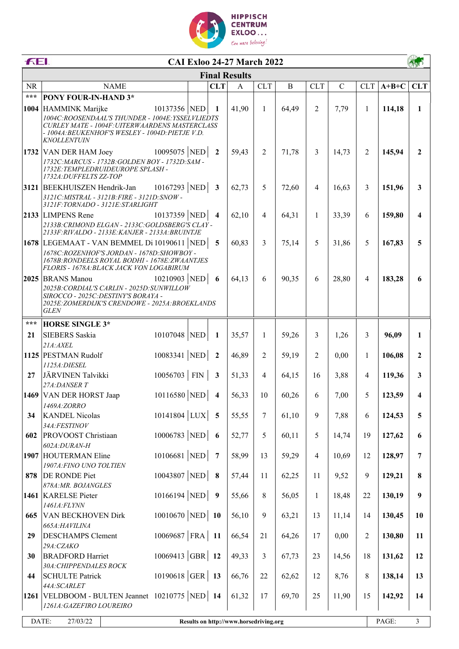

|           | FEI.<br><b>CAI Exloo 24-27 March 2022</b>                                                                                                                                                                                    |                   |  |                         |       |                |          |                |                |                |         |                  |
|-----------|------------------------------------------------------------------------------------------------------------------------------------------------------------------------------------------------------------------------------|-------------------|--|-------------------------|-------|----------------|----------|----------------|----------------|----------------|---------|------------------|
|           | <b>Final Results</b>                                                                                                                                                                                                         |                   |  |                         |       |                |          |                |                |                |         |                  |
| <b>NR</b> | <b>NAME</b>                                                                                                                                                                                                                  |                   |  | <b>CLT</b>              | A     | <b>CLT</b>     | $\bf{B}$ | <b>CLT</b>     | $\overline{C}$ | <b>CLT</b>     | $A+B+C$ | <b>CLT</b>       |
| $***$     | PONY FOUR-IN-HAND 3*<br>1004 HAMMINK Marijke<br>1004C:ROOSENDAAL'S THUNDER - 1004E: YSSELVLIEDTS<br>CURLEY MATE - 1004F: UITERWAARDENS MASTERCLASS<br>- 1004A: BEUKENHOF'S WESLEY - 1004D: PIETJE V.D.<br><b>KNOLLENTUIN</b> | 10137356 NED      |  | -1                      | 41,90 | $\mathbf{1}$   | 64,49    | $\overline{2}$ | 7,79           | 1              | 114,18  | 1                |
|           | 1732 VAN DER HAM Joey<br>1732C: MARCUS - 1732B: GOLDEN BOY - 1732D: SAM -<br>1732E: TEMPLEDRUIDEUROPE SPLASH -<br>1732A: DUFFELTS ZZ-TOP                                                                                     | $10095075$ NED 2  |  |                         | 59,43 | $\overline{2}$ | 71,78    | 3              | 14,73          | 2              | 145,94  | $\mathbf{2}$     |
|           | 3121 BEEKHUISZEN Hendrik-Jan<br>3121C: MISTRAL - 3121B: FIRE - 3121D: SNOW -<br>3121F:TORNADO - 3121E:STARLIGHT                                                                                                              | 10167293 NED 3    |  |                         | 62,73 | 5              | 72,60    | $\overline{4}$ | 16,63          | 3              | 151,96  | 3                |
|           | 2133 LIMPENS Rene<br>2133B: CRIMOND ELGAN - 2133C: GOLDSBERG'S CLAY -<br>2133F:RIVALDO - 2133E:KANJER - 2133A:BRUINTJE                                                                                                       | 10137359 NED      |  | $\overline{\mathbf{4}}$ | 62,10 | $\overline{4}$ | 64,31    | 1              | 33,39          | 6              | 159,80  | 4                |
|           | 1678 LEGEMAAT - VAN BEMMEL Di 10190611 NED<br>1678C:ROZENHOF'S JORDAN - 1678D:SHOWBOY -<br>1678B: RONDEELS ROYAL BODHI - 1678E: ZWAANTJES<br>FLORIS - 1678A: BLACK JACK VON LOGABIRUM                                        |                   |  | 5                       | 60,83 | 3              | 75,14    | 5              | 31,86          | 5              | 167,83  | 5                |
|           | 2025 BRANS Manou<br>2025B: CORDIAL'S CARLIN - 2025D: SUNWILLOW<br>SIROCCO - 2025C: DESTINY'S BORAYA -<br>2025E: ZOMERDIJK'S CRENDOWE - 2025A: BROEKLANDS<br><b>GLEN</b>                                                      | 10210903 NED      |  | 6                       | 64,13 | 6              | 90,35    | 6              | 28,80          | 4              | 183,28  | 6                |
| $***$     | <b>HORSE SINGLE 3*</b>                                                                                                                                                                                                       |                   |  |                         |       |                |          |                |                |                |         |                  |
| 21        | SIEBERS Saskia                                                                                                                                                                                                               | 10107048 NED      |  | $\mathbf{1}$            | 35,57 | $\mathbf{1}$   | 59,26    | 3              | 1,26           | 3              | 96,09   | 1                |
|           | 21A:AXEL<br>1125 PESTMAN Rudolf<br>1125A: DIESEL                                                                                                                                                                             | 10083341 NED      |  | $\overline{2}$          | 46,89 | 2              | 59,19    | 2              | 0,00           | $\mathbf{1}$   | 106,08  | $\mathbf{2}$     |
| 27        | JÄRVINEN Talvikki<br>27A:DANSERT                                                                                                                                                                                             | $10056703$ FIN    |  | $\overline{\mathbf{3}}$ | 51,33 | $\overline{4}$ | 64,15    | 16             | 3,88           | $\overline{4}$ | 119,36  | 3                |
|           | 1469 VAN DER HORST Jaap<br>1469A:ZORRO                                                                                                                                                                                       | 10116580 NED      |  | $\overline{\mathbf{4}}$ | 56,33 | 10             | 60,26    | 6              | 7,00           | 5              | 123,59  |                  |
| 34        | <b>KANDEL Nicolas</b><br>34A:FESTINOV                                                                                                                                                                                        | $10141804$ LUX    |  | 5                       | 55,55 | $\tau$         | 61,10    | 9              | 7,88           | 6              | 124,53  | 5                |
| 602       | PROVOOST Christiaan                                                                                                                                                                                                          | 10006783 NED      |  | -6                      | 52,77 | 5              | 60,11    | 5              | 14,74          | 19             | 127,62  | 6                |
|           | 602A:DURAN-H<br>1907 HOUTERMAN Eline<br>1907A: FINO UNO TOLTIEN                                                                                                                                                              | 10106681 NED      |  | $\overline{7}$          | 58,99 | 13             | 59,29    | $\overline{4}$ | 10,69          | 12             | 128,97  | $\overline{7}$   |
| 878       | <b>DE RONDE Piet</b><br>878A: MR. BOJANGLES                                                                                                                                                                                  | 10043807 NED      |  | 8                       | 57,44 | 11             | 62,25    | 11             | 9,52           | 9              | 129,21  | 8                |
|           | 1461 KARELSE Pieter<br>1461A:FLYNN                                                                                                                                                                                           | 10166194 NED      |  | $\boldsymbol{9}$        | 55,66 | 8              | 56,05    | $\mathbf{1}$   | 18,48          | 22             | 130,19  | $\boldsymbol{9}$ |
| 665       | VAN BECKHOVEN Dirk<br>665A:HAVILINA                                                                                                                                                                                          | $10010670$ NED 10 |  |                         | 56,10 | 9              | 63,21    | 13             | 11,14          | 14             | 130,45  | 10               |
| 29        | <b>DESCHAMPS Clement</b><br>29A:CZAKO                                                                                                                                                                                        | $10069687$ FRA 11 |  |                         | 66,54 | 21             | 64,26    | 17             | 0,00           | $\overline{2}$ | 130,80  | 11               |
| 30        | <b>BRADFORD Harriet</b><br>30A: CHIPPENDALES ROCK                                                                                                                                                                            | $10069413$ GBR 12 |  |                         | 49,33 | $\mathfrak{Z}$ | 67,73    | 23             | 14,56          | 18             | 131,62  | 12               |
| 44        | <b>SCHULTE Patrick</b><br>44A:SCARLET                                                                                                                                                                                        | 10190618 GER 13   |  |                         | 66,76 | 22             | 62,62    | 12             | 8,76           | 8              | 138,14  | 13               |
|           | 1261   VELDBOOM - BULTEN Jeannet 10210775   NED   14<br>1261A: GAZEFIRO LOUREIRO                                                                                                                                             |                   |  |                         | 61,32 | 17             | 69,70    | 25             | 11,90          | 15             | 142,92  | 14               |
|           | DATE:<br>27/03/22<br>PAGE:<br>3<br>Results on http://www.horsedriving.org                                                                                                                                                    |                   |  |                         |       |                |          |                |                |                |         |                  |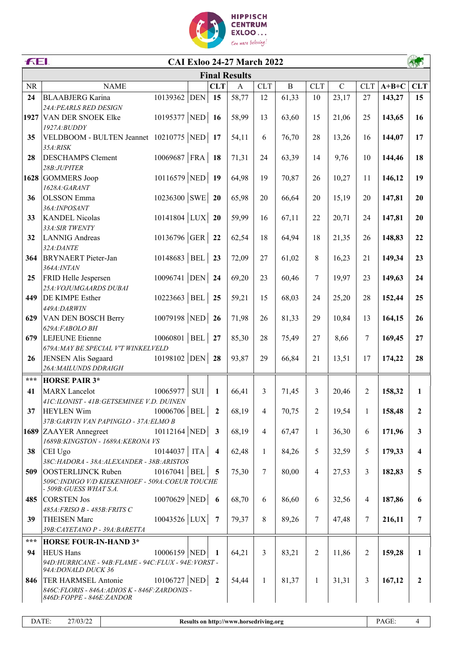

|           | FEI.<br><b>CAI Exloo 24-27 March 2022</b>                                     |                     |     |                         |              |                |                |              |             |                |         |                |
|-----------|-------------------------------------------------------------------------------|---------------------|-----|-------------------------|--------------|----------------|----------------|--------------|-------------|----------------|---------|----------------|
|           | <b>Final Results</b>                                                          |                     |     |                         |              |                |                |              |             |                |         |                |
| <b>NR</b> | <b>NAME</b>                                                                   |                     |     | <b>CLT</b>              | $\mathbf{A}$ | <b>CLT</b>     | $\overline{B}$ | <b>CLT</b>   | $\mathbf C$ | <b>CLT</b>     | $A+B+C$ | <b>CLT</b>     |
| 24        | <b>BLAABJERG</b> Karina                                                       | 10139362 DEN        |     | 15                      | 58,77        | 12             | 61,33          | 10           | 23,17       | 27             | 143,27  | 15             |
|           | 24A: PEARLS RED DESIGN                                                        |                     |     |                         |              |                |                |              |             |                |         |                |
| 1927      | VAN DER SNOEK Elke                                                            | 10195377 NED 16     |     |                         | 58,99        | 13             | 63,60          | 15           | 21,06       | 25             | 143,65  | 16             |
| 35        | 1927A:BUDDY<br>VELDBOOM - BULTEN Jeannet 10210775 NED 17                      |                     |     |                         | 54,11        | 6              | 76,70          | 28           | 13,26       | 16             | 144,07  | 17             |
|           | 35A:RISK                                                                      |                     |     |                         |              |                |                |              |             |                |         |                |
| 28        | <b>DESCHAMPS Clement</b>                                                      | $10069687$ FRA 18   |     |                         | 71,31        | 24             | 63,39          | 14           | 9,76        | 10             | 144,46  | 18             |
|           | 28B:JUPITER                                                                   |                     |     |                         |              |                |                |              |             |                |         |                |
|           | 1628 GOMMERS Joop                                                             | $10116579$ NED 19   |     |                         | 64,98        | 19             | 70,87          | 26           | 10,27       | 11             | 146,12  | 19             |
|           | 1628A:GARANT                                                                  |                     |     |                         |              |                |                |              |             |                |         |                |
| 36        | <b>OLSSON</b> Emma                                                            | $10236300$ SWE 20   |     |                         | 65,98        | 20             | 66,64          | 20           | 15,19       | 20             | 147,81  | 20             |
| 33        | 36A: INPOSANT<br><b>KANDEL Nicolas</b>                                        | 10141804 LUX 20     |     |                         | 59,99        | 16             | 67,11          | 22           | 20,71       | 24             | 147,81  | 20             |
|           | 33A:SIR TWENTY                                                                |                     |     |                         |              |                |                |              |             |                |         |                |
| 32        | <b>LANNIG</b> Andreas                                                         | 10136796 GER 22     |     |                         | 62,54        | 18             | 64,94          | 18           | 21,35       | 26             | 148,83  | 22             |
|           | 32A:DANTE                                                                     |                     |     |                         |              |                |                |              |             |                |         |                |
| 364       | <b>BRYNAERT</b> Pieter-Jan                                                    | 10148683   BEL   23 |     |                         | 72,09        | 27             | 61,02          | 8            | 16,23       | 21             | 149,34  | 23             |
|           | 364A: INTAN                                                                   |                     |     |                         |              |                |                |              |             |                |         |                |
| 25        | FRID Helle Jespersen                                                          | 10096741 DEN 24     |     |                         | 69,20        | 23             | 60,46          | 7            | 19,97       | 23             | 149,63  | 24             |
| 449       | 25A: VOJUMGAARDS DUBAI<br><b>DE KIMPE Esther</b>                              | 10223663   BEL   25 |     |                         | 59,21        | 15             | 68,03          | 24           | 25,20       | 28             | 152,44  | 25             |
|           | 449A:DARWIN                                                                   |                     |     |                         |              |                |                |              |             |                |         |                |
| 629       | VAN DEN BOSCH Berry                                                           | 10079198 NED 26     |     |                         | 71,98        | 26             | 81,33          | 29           | 10,84       | 13             | 164,15  | 26             |
|           | 629A:FABOLO BH                                                                |                     |     |                         |              |                |                |              |             |                |         |                |
| 679       | LEJEUNE Etienne                                                               | 10060801   BEL   27 |     |                         | 85,30        | 28             | 75,49          | 27           | 8,66        | 7              | 169,45  | 27             |
|           | 679A: MAY BE SPECIAL V'T WINKELVELD                                           |                     |     |                         |              |                |                |              |             |                |         |                |
| 26        | JENSEN Alis Søgaard<br>26A: MAILUNDS DDRAIGH                                  | 10198102 DEN 28     |     |                         | 93,87        | 29             | 66,84          | 21           | 13,51       | 17             | 174,22  | 28             |
| $***$     |                                                                               |                     |     |                         |              |                |                |              |             |                |         |                |
| 41        | <b>HORSE PAIR 3*</b><br><b>MARX</b> Lancelot                                  | 10065977            | SUI | 1                       | 66,41        | 3              | 71,45          | 3            | 20,46       | $\overline{2}$ | 158,32  | $\mathbf{1}$   |
|           | 41C:ILONIST - 41B:GETSEMINEE V.D. DUINEN                                      |                     |     |                         |              |                |                |              |             |                |         |                |
| 37        | <b>HEYLEN Wim</b>                                                             | 10006706   BEL      |     | $\overline{\mathbf{2}}$ | 68,19        | 4              | 70,75          | 2            | 19,54       | $\mathbf{1}$   | 158,48  | $\overline{2}$ |
|           | 37B: GARVIN VAN PAPINGLO - 37A: ELMO B                                        |                     |     |                         |              |                |                |              |             |                |         |                |
|           | 1689 ZAAYER Annegreet                                                         | 10112164 NED $3$    |     |                         | 68,19        | $\overline{4}$ | 67,47          | $\mathbf{1}$ | 36,30       | 6              | 171,96  | $\mathbf{3}$   |
|           | 1689B: KINGSTON - 1689A: KERONA VS                                            |                     |     |                         |              |                |                |              |             |                |         |                |
| 38        | CEI Ugo                                                                       | $10144037$ ITA      |     | $\overline{\mathbf{4}}$ | 62,48        | $\mathbf{1}$   | 84,26          | 5            | 32,59       | 5              | 179,33  | 4              |
| 509       | 38C:HADORA - 38A:ALEXANDER - 38B:ARISTOS<br>OOSTERLIJNCK Ruben                | $10167041$ BEL      |     | 5                       | 75,30        | $\overline{7}$ | 80,00          | 4            | 27,53       | 3              | 182,83  | 5              |
|           | 509C: INDIGO V/D KIEKENHOEF - 509A: COEUR TOUCHE                              |                     |     |                         |              |                |                |              |             |                |         |                |
|           | - 509B:GUESS WHAT S.A.                                                        |                     |     |                         |              |                |                |              |             |                |         |                |
| 485       | <b>CORSTEN Jos</b>                                                            | $10070629$ NED 6    |     |                         | 68,70        | 6              | 86,60          | 6            | 32,56       | $\overline{4}$ | 187,86  | 6              |
| 39        | 485A: FRISO B - 485B: FRITS C<br><b>THEISEN Marc</b>                          | $10043526$ LUX 7    |     |                         | 79,37        | $8\,$          | 89,26          | 7            |             | 7              | 216,11  | $\overline{7}$ |
|           | 39B: CAYETANO P - 39A: BARETTA                                                |                     |     |                         |              |                |                |              | 47,48       |                |         |                |
| ***       | <b>HORSE FOUR-IN-HAND 3*</b>                                                  |                     |     |                         |              |                |                |              |             |                |         |                |
| 94        | <b>HEUS Hans</b>                                                              | 10006159 NED        |     | $\mathbf{1}$            | 64,21        | $\mathfrak{Z}$ | 83,21          | 2            | 11,86       | 2              | 159,28  | $\mathbf{1}$   |
|           | 94D: HURRICANE - 94B: FLAME - 94C: FLUX - 94E: VORST -                        |                     |     |                         |              |                |                |              |             |                |         |                |
|           | 94A: DONALD DUCK 36                                                           |                     |     |                         |              |                |                |              |             |                |         |                |
| 846       | <b>TER HARMSEL Antonie</b>                                                    | $10106727$ NED 2    |     |                         | 54,44        | $\mathbf{1}$   | 81,37          | 1            | 31,31       | 3              | 167,12  | $\overline{2}$ |
|           | 846C: FLORIS - 846A: ADIOS K - 846F: ZARDONIS -<br>846D: FOPPE - 846E: ZANDOR |                     |     |                         |              |                |                |              |             |                |         |                |
|           |                                                                               |                     |     |                         |              |                |                |              |             |                |         |                |